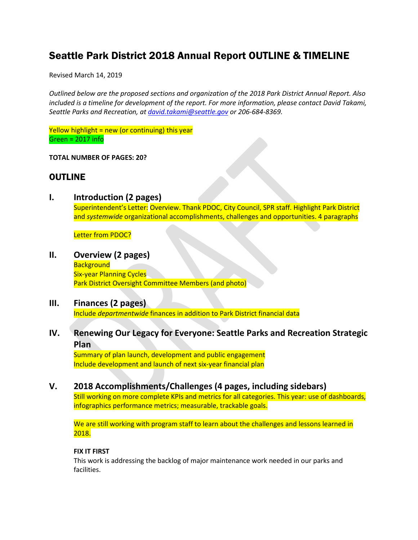## Seattle Park District 2018 Annual Report OUTLINE & TIMELINE

Revised March 14, 2019

*Outlined below are the proposed sections and organization of the 2018 Park District Annual Report. Also included is a timeline for development of the report. For more information, please contact David Takami, Seattle Parks and Recreation, at [david.takami@seattle.gov](mailto:david.takami@seattle.gov) or 206-684-8369.*

Yellow highlight = new (or continuing) this year Green = 2017 info

#### **TOTAL NUMBER OF PAGES: 20?**

## OUTLINE

**I. Introduction (2 pages)** Superintendent's Letter: Overview. Thank PDOC, City Council, SPR staff. Highlight Park District and *systemwide* organizational accomplishments, challenges and opportunities. 4 paragraphs

**Letter from PDOC?** 

**II. Overview (2 pages) Background** Six-year Planning Cycles Park District Oversight Committee Members (and photo)

# **III. Finances (2 pages)**

Include *departmentwide* finances in addition to Park District financial data

## **IV. Renewing Our Legacy for Everyone: Seattle Parks and Recreation Strategic Plan**

Summary of plan launch, development and public engagement Include development and launch of next six-year financial plan

### **V. 2018 Accomplishments/Challenges (4 pages, including sidebars)**

Still working on more complete KPIs and metrics for all categories. This year: use of dashboards, infographics performance metrics; measurable, trackable goals.

We are still working with program staff to learn about the challenges and lessons learned in 2018.

#### **FIX IT FIRST**

This work is addressing the backlog of major maintenance work needed in our parks and facilities.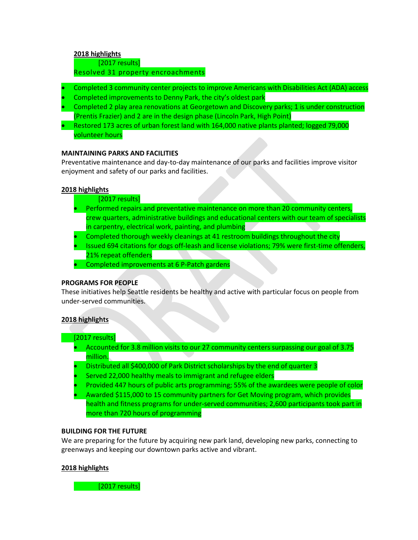#### **2018 highlights**

[2017 results]

#### Resolved 31 property encroachments

- Completed 3 community center projects to improve Americans with Disabilities Act (ADA) access
- Completed improvements to Denny Park, the city's oldest park
- Completed 2 play area renovations at Georgetown and Discovery parks; 1 is under construction (Prentis Frazier) and 2 are in the design phase (Lincoln Park, High Point)
- Restored 173 acres of urban forest land with 164,000 native plants planted; logged 79,000 volunteer hours

#### **MAINTAINING PARKS AND FACILITIES**

Preventative maintenance and day-to-day maintenance of our parks and facilities improve visitor enjoyment and safety of our parks and facilities.

#### **2018 highlights**

- [2017 results]
- Performed repairs and preventative maintenance on more than 20 community centers, crew quarters, administrative buildings and educational centers with our team of specialists in carpentry, electrical work, painting, and plumbing
- Completed thorough weekly cleanings at 41 restroom buildings throughout the city
- Issued 694 citations for dogs off-leash and license violations; 79% were first-time offenders, 21% repeat offenders
- Completed improvements at 6 P-Patch gardens

#### **PROGRAMS FOR PEOPLE**

These initiatives help Seattle residents be healthy and active with particular focus on people from under-served communities.

#### **2018 highlights**

#### [2017 results]

- Accounted for 3.8 million visits to our 27 community centers surpassing our goal of 3.75 million.
- Distributed all \$400,000 of Park District scholarships by the end of quarter 3
- Served 22,000 healthy meals to immigrant and refugee elders
- Provided 447 hours of public arts programming; 55% of the awardees were people of color
- Awarded \$115,000 to 15 community partners for Get Moving program, which provides health and fitness programs for under-served communities; 2,600 participants took part in more than 720 hours of programming

#### **BUILDING FOR THE FUTURE**

We are preparing for the future by acquiring new park land, developing new parks, connecting to greenways and keeping our downtown parks active and vibrant.

#### **2018 highlights**

[2017 results]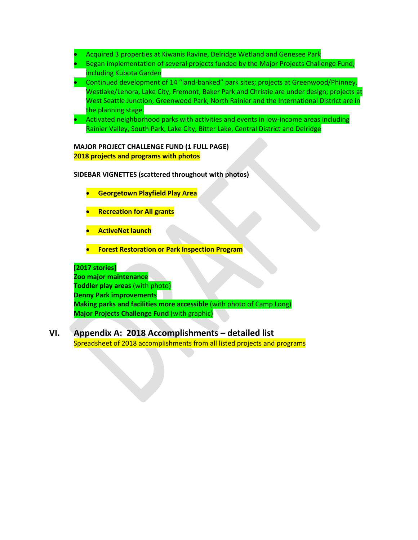- Acquired 3 properties at Kiwanis Ravine, Delridge Wetland and Genesee Park
- Began implementation of several projects funded by the Major Projects Challenge Fund, including Kubota Garden
- Continued development of 14 "land-banked" park sites; projects at Greenwood/Phinney, Westlake/Lenora, Lake City, Fremont, Baker Park and Christie are under design; projects at West Seattle Junction, Greenwood Park, North Rainier and the International District are in the planning stage.
- Activated neighborhood parks with activities and events in low-income areas including Rainier Valley, South Park, Lake City, Bitter Lake, Central District and Delridge

#### **MAJOR PROJECT CHALLENGE FUND (1 FULL PAGE) 2018 projects and programs with photos**

#### **SIDEBAR VIGNETTES (scattered throughout with photos)**

- **Georgetown Playfield Play Area**
- **Recreation for All grants**
- **ActiveNet launch**
- **Forest Restoration or Park Inspection Program**

#### **[2017 stories]**

**Zoo major maintenance Toddler play areas** (with photo) **Denny Park improvements Making parks and facilities more accessible** (with photo of Camp Long) **Major Projects Challenge Fund** (with graphic)

### **VI. Appendix A: 2018 Accomplishments – detailed list** Spreadsheet of 2018 accomplishments from all listed projects and programs